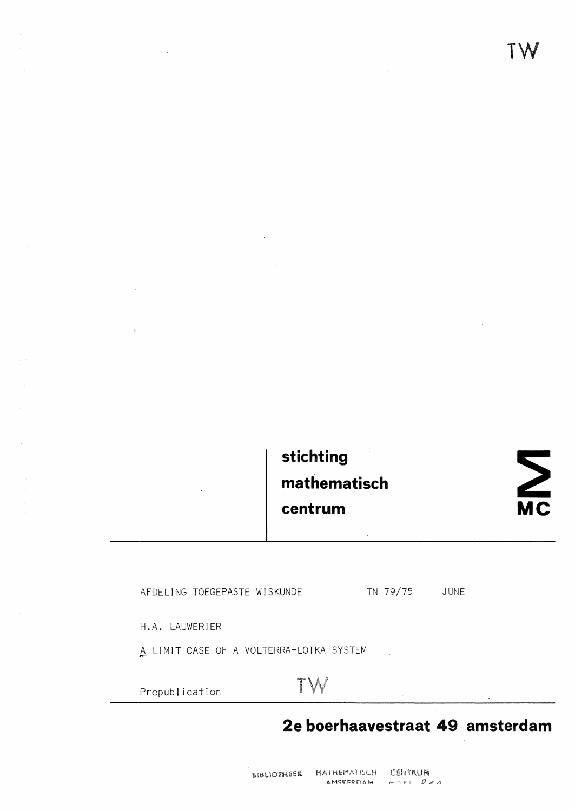TW

## stichting mathematisch centrum

 $\sum_{\mathsf{MC}}$ 

AFDELING TOEGEPASTE WISKUNDE

TN 79/75 JUNE

H.A. LAUWERIER

A LIMIT CASE OF A VOLTERRA-LOTKA SYSTEM

Prepublication

# TW

### 2e boerhaavestraat 49 amsterdam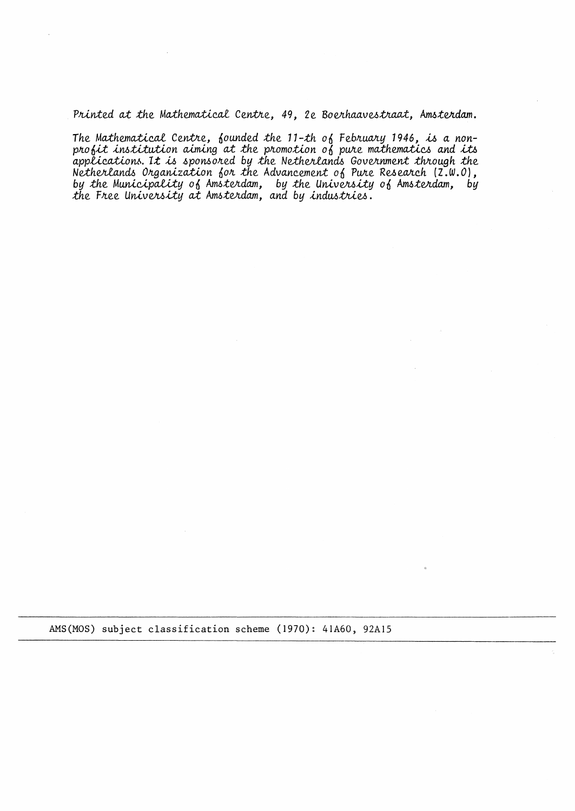Printed at the Mathematical Centre, 49, 2e Boerhaavestraat, Amsterdam.

The Mathematical Centre, founded the 11-th of February 1946, is a nonprofit institution aiming at the promotion of pure mathematics and its applications. It is sponsored by the Netherlands Government through the Netherlands Organization for the Advancement of Pure Research (2.W.O), by the Municipality of Amsterdam, by the University of Amsterdam, by<br>the Free University at Amsterdam, and by industries.

AMS(MOS) subject classification scheme (1970): 41A60, 92A15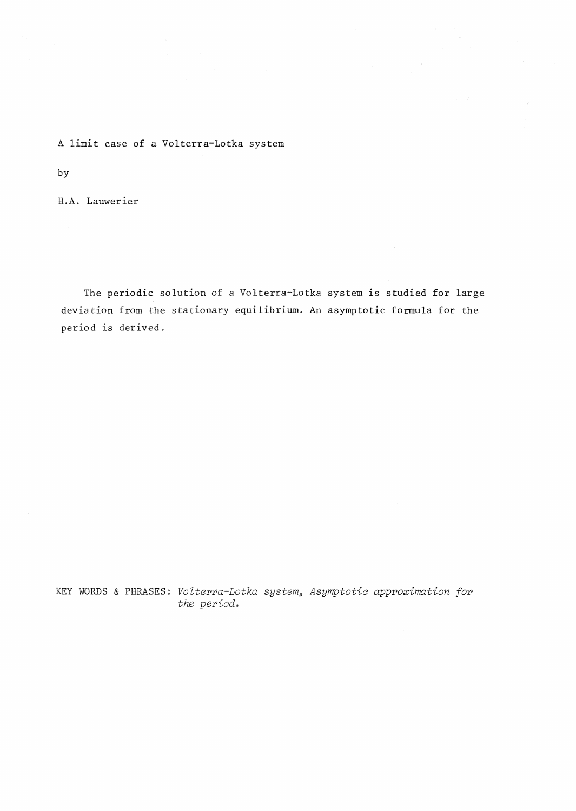A limit case of a Volterra-Lotka system

by

H.A. Lauwerier

The periodic solution of a Volterra-Lotka system is studied for large deviation from the stationary equilibrium. An asymptotic formula for the period is derived.

KEY WORDS & PHRASES: *Volterra-Lotka system, Asymptotic approximation for the period.*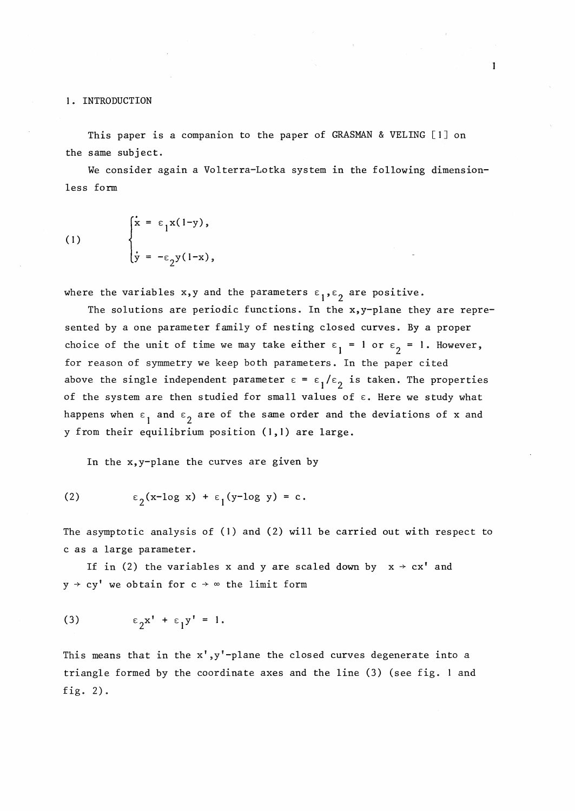**l.** INTRODUCTION

This paper is a companion to the paper of GRASMAN & VELING  $[1]$  on the same subject.

We consider again a Volterra-Lotka system in the following dimensionless form

(1) 
$$
\begin{cases} \dot{x} = \varepsilon_1 x(1-y), \\ \dot{y} = -\varepsilon_2 y(1-x), \end{cases}
$$

where the variables x,y and the parameters  $\varepsilon_1,\varepsilon_2$  are positive.

The solutions are periodic functions. In the x,y-plane they are represented by a one parameter family of nesting closed curves. By a proper choice of the unit of time we may take either  $\varepsilon_1 = 1$  or  $\varepsilon_2 = 1$ . However, for reason of symmetry we keep both parameters. In the paper cited above the single independent parameter  $\varepsilon = \varepsilon_1/\varepsilon_2$  is taken. The properties of the system are then studied for small values of  $\varepsilon$ . Here we study what happens when  $\varepsilon_1$  and  $\varepsilon_2$  are of the same order and the deviations of x and y from their equilibrium position **(1,1)** are large.

In the x,y-plane the curves are given by

(2) 
$$
\epsilon_2(x-\log x) + \epsilon_1(y-\log y) = c.
$$

The asymptotic analysis of **(1)** and (2) will be carried out with respect to c as a large parameter.

If in (2) the variables x and y are scaled down by  $x \rightarrow cx'$  and  $y \rightarrow cy'$  we obtain for  $c \rightarrow \infty$  the limit form

$$
(3) \qquad \epsilon_2 x' + \epsilon_1 y' = 1.
$$

This means that in the x',y'-plane the closed curves degenerate into a triangle formed by the coordinate axes and the line (3) (see fig. land fig. 2).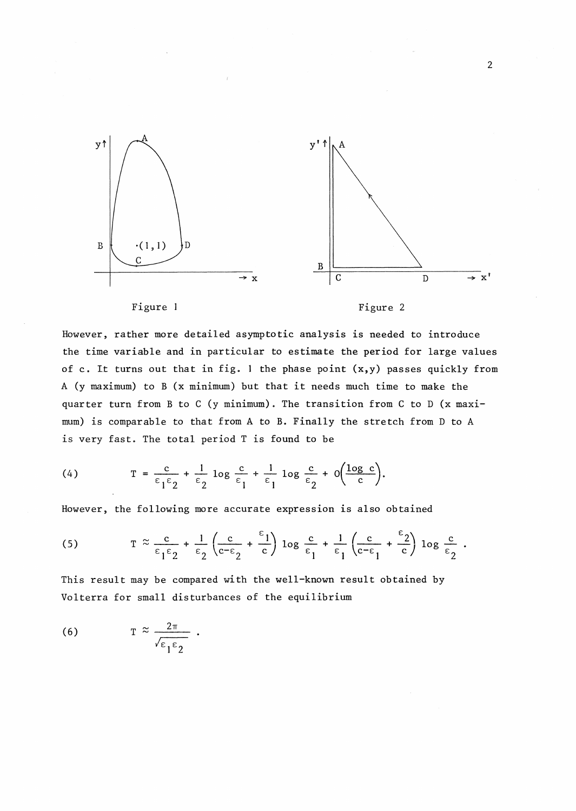

Figure I

Figure 2

However, rather more detailed asymptotic analysis is needed to introduce the time variable and in particular to estimate the period for large values of c. It turns out that in fig. 1 the phase point (x,y) passes quickly from A (y maximum) to B (x minimum) but that it needs much time to make the quarter turn from B to C (y minimum). The transition from C to D (x maximum) is comparable to that from A to B. Finally the stretch from D to A is very fast. The total period T is found to be

(4) 
$$
T = \frac{c}{\epsilon_1 \epsilon_2} + \frac{1}{\epsilon_2} \log \frac{c}{\epsilon_1} + \frac{1}{\epsilon_1} \log \frac{c}{\epsilon_2} + o\left(\frac{\log c}{c}\right).
$$

However, the following more accurate expression is also obtained

(5) 
$$
T \approx \frac{c}{\epsilon_1 \epsilon_2} + \frac{1}{\epsilon_2} \left( \frac{c}{c - \epsilon_2} + \frac{\epsilon_1}{c} \right) \log \frac{c}{\epsilon_1} + \frac{1}{\epsilon_1} \left( \frac{c}{c - \epsilon_1} + \frac{\epsilon_2}{c} \right) \log \frac{c}{\epsilon_2}
$$

This result may be compared with the well-known result obtained by Volterra for small disturbances of the equilibrium

(6) 
$$
T \approx \frac{2\pi}{\sqrt{\epsilon_1 \epsilon_2}}.
$$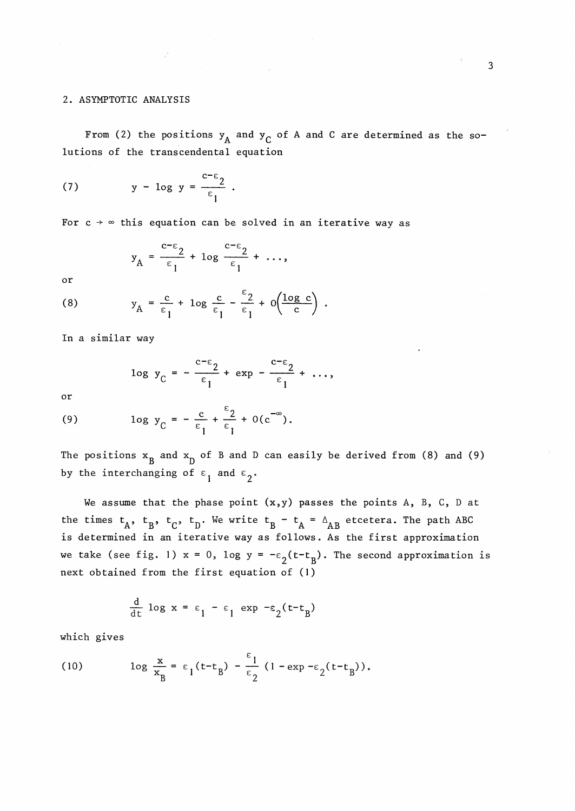#### 2. ASYMPTOTIC ANALYSIS

From (2) the positions  $y_A$  and  $y_C$  of A and C are determined as the solutions of the transcendental equation

(7) 
$$
y - \log y = \frac{c - \epsilon_2}{\epsilon_1}
$$
.

For  $c \rightarrow \infty$  this equation can be solved in an iterative way as

$$
y_A = \frac{c-\epsilon_2}{\epsilon_1} + \log \frac{c-\epsilon_2}{\epsilon_1} + \dots,
$$

or

(8) 
$$
y_A = \frac{c}{\epsilon_1} + \log \frac{c}{\epsilon_1} - \frac{\epsilon_2}{\epsilon_1} + o\left(\frac{\log c}{c}\right).
$$

In a similar way

$$
\log y_C = -\frac{c-\epsilon_2}{\epsilon_1} + \exp(-\frac{c-\epsilon_2}{\epsilon_1} + \dots,
$$

or

(9) 
$$
\log y_C = -\frac{c}{\epsilon_1} + \frac{\epsilon_2}{\epsilon_1} + O(c^{-\infty}).
$$

The positions  $x_B$  and  $x_D$  of B and D can easily be derived from (8) and (9) by the interchanging of  $\varepsilon_1$  and  $\varepsilon_2$ .

We assume that the phase point  $(x,y)$  passes the points A, B, C, D at the times  $t_A$ ,  $t_B$ ,  $t_C$ ,  $t_D$ . We write  $t_B - t_A = \Delta_{AB}$  etcetera. The path ABC is determined in an iterative way as follows. As the first approximation we take (see fig. 1)  $x = 0$ , log  $y = -\epsilon_2(t-t_B)$ . The second approximation is next obtained from the first equation of (I)

$$
\frac{d}{dt} \log x = \varepsilon_1 - \varepsilon_1 \exp(-\varepsilon_2(t - t_B))
$$

which gives

(10) 
$$
\log \frac{x}{x_B} = \varepsilon_1 (t - t_B) - \frac{\varepsilon_1}{\varepsilon_2} (1 - \exp(-\varepsilon_2 (t - t_B)).
$$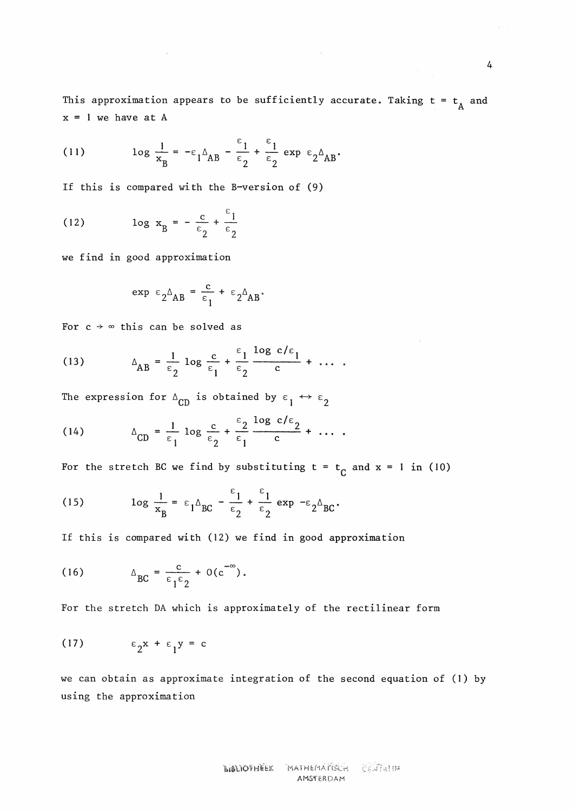This approximation appears to be sufficiently accurate. Taking  $t = t_A$  and  $x = 1$  we have at A

 $\sim \infty$ 

(11) 
$$
\log \frac{1}{x_B} = -\epsilon_1 \Delta_{AB} - \frac{\epsilon_1}{\epsilon_2} + \frac{\epsilon_1}{\epsilon_2} \exp \epsilon_2 \Delta_{AB}.
$$

If this is compared with the B-version of (9)

(12) 
$$
\log x_B = -\frac{c}{\epsilon_2} + \frac{\epsilon_1}{\epsilon_2}
$$

we find in good approximation

$$
\exp \epsilon_2 \Delta_{AB} = \frac{c}{\epsilon_1} + \epsilon_2 \Delta_{AB}.
$$

For  $c \rightarrow \infty$  this can be solved as

(13) 
$$
\Delta_{AB} = \frac{1}{\epsilon_2} \log \frac{c}{\epsilon_1} + \frac{\epsilon_1}{\epsilon_2} \frac{\log c/\epsilon_1}{c} + \dots
$$

The expression for  $\Delta_{CD}$  is obtained by  $\varepsilon_1 \leftrightarrow \varepsilon_2$ 

(14) 
$$
\Delta_{CD} = \frac{1}{\epsilon_1} \log \frac{c}{\epsilon_2} + \frac{\epsilon_2}{\epsilon_1} \frac{\log c/\epsilon_2}{c} + \dots
$$

For the stretch BC we find by substituting  $t = t_c$  and  $x = 1$  in (10)

(15) 
$$
\log \frac{1}{x_B} = \epsilon_1 \Delta_{BC} - \frac{\epsilon_1}{\epsilon_2} + \frac{\epsilon_1}{\epsilon_2} \exp{-\epsilon_2 \Delta_{BC}}.
$$

If this is compared with (12) we find in good approximation

(16) 
$$
\Delta_{\text{BC}} = \frac{c}{\epsilon_1 \epsilon_2} + O(c^{-\infty}).
$$

For the stretch DA which is approximately of the rectilinear form

$$
(17) \qquad \epsilon_2 x + \epsilon_1 y = c
$$

we can obtain as approximate integration of the second equation of (I) by using the approximation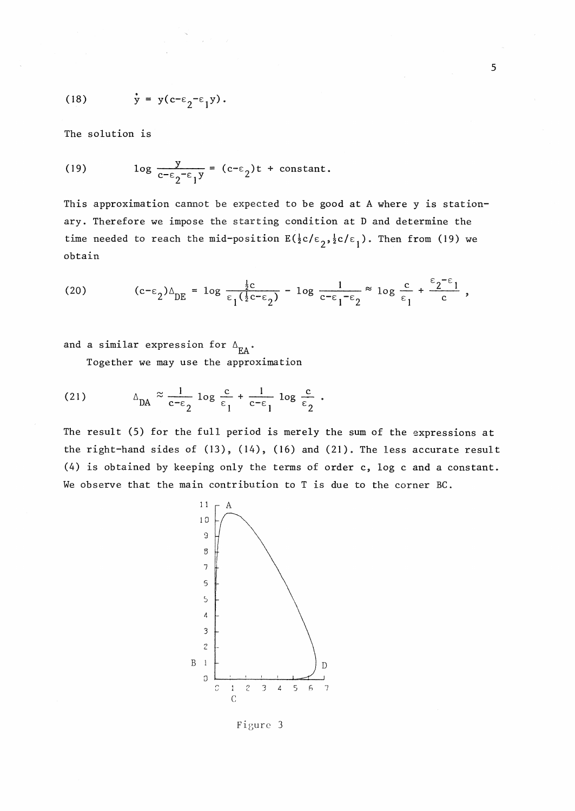(18) 
$$
\dot{y} = y(c-\epsilon_2-\epsilon_1 y)
$$
.

The solution is

(19) 
$$
\log \frac{y}{c^{-\epsilon} 2^{-\epsilon} 1^y} = (c^{-\epsilon} 2)t + \text{constant}.
$$

This approximation cannot be expected to be good at A where y is stationary. Therefore we impose the starting condition at D and determine the time needed to reach the mid-position  $E(\frac{1}{2}c/\epsilon_2, \frac{1}{2}c/\epsilon_1)$ . Then from (19) we obtain

(20) 
$$
(c-\varepsilon_2)\Delta_{DE} = \log \frac{\frac{1}{2}c}{\varepsilon_1(\frac{1}{2}c-\varepsilon_2)} - \log \frac{1}{c-\varepsilon_1-\varepsilon_2} \approx \log \frac{c}{\varepsilon_1} + \frac{\varepsilon_2-\varepsilon_1}{c},
$$

and a similar expression for  $\Delta_{FA}$ .

Together we may use the approximation

(21) 
$$
\Delta_{\text{DA}} \approx \frac{1}{c - \epsilon_2} \log \frac{c}{\epsilon_1} + \frac{1}{c - \epsilon_1} \log \frac{c}{\epsilon_2}.
$$

The result (5) for the full period is merely the sum of the expressions at the right-hand sides of (13), (14), (16) and (21). The less accurate result (4) is obtained by keeping only the terms of order c, log c and a constant. We observe that the main contribution to T is due to the corner BC.



Figure 3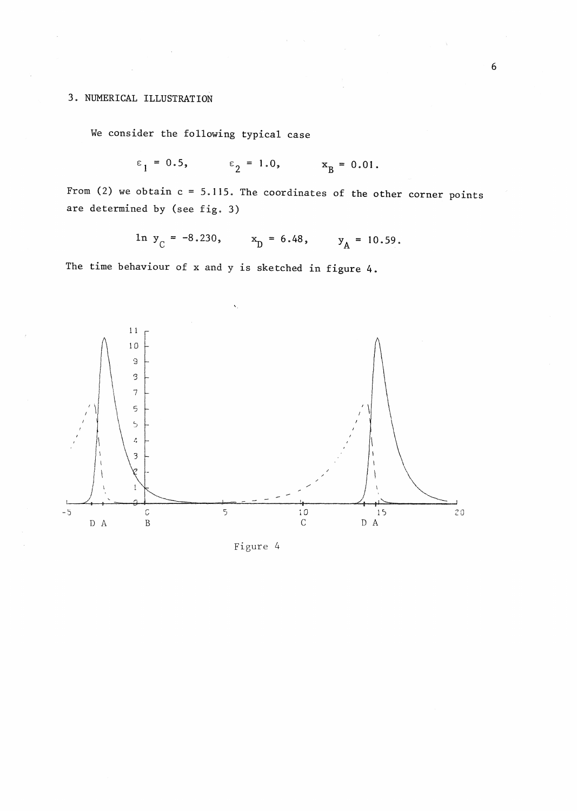### 3. NUMERICAL ILLUSTRATION

We consider the following typical case

$$
\epsilon_1 = 0.5
$$
,  $\epsilon_2 = 1.0$ ,  $x_B = 0.01$ .

From (2) we obtain  $c = 5.115$ . The coordinates of the other corner points are determined by (see fig. 3)

ln  $y_C = -8.230$ ,  $x_D = 6.48$ ,  $y_A = 10.59$ .

The time behaviour of x and y is sketched in figure 4.



Figure 4